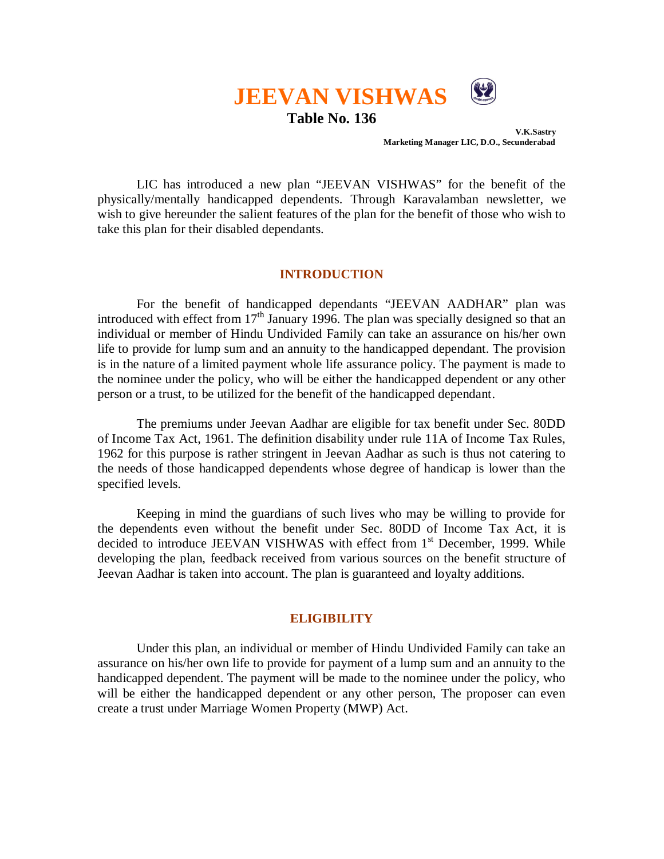

**Table No. 136**

 **V.K.Sastry Marketing Manager LIC, D.O., Secunderabad**

LIC has introduced a new plan "JEEVAN VISHWAS" for the benefit of the physically/mentally handicapped dependents. Through Karavalamban newsletter, we wish to give hereunder the salient features of the plan for the benefit of those who wish to take this plan for their disabled dependants.

# **INTRODUCTION**

For the benefit of handicapped dependants "JEEVAN AADHAR" plan was introduced with effect from  $17<sup>th</sup>$  January 1996. The plan was specially designed so that an individual or member of Hindu Undivided Family can take an assurance on his/her own life to provide for lump sum and an annuity to the handicapped dependant. The provision is in the nature of a limited payment whole life assurance policy. The payment is made to the nominee under the policy, who will be either the handicapped dependent or any other person or a trust, to be utilized for the benefit of the handicapped dependant.

The premiums under Jeevan Aadhar are eligible for tax benefit under Sec. 80DD of Income Tax Act, 1961. The definition disability under rule 11A of Income Tax Rules, 1962 for this purpose is rather stringent in Jeevan Aadhar as such is thus not catering to the needs of those handicapped dependents whose degree of handicap is lower than the specified levels.

Keeping in mind the guardians of such lives who may be willing to provide for the dependents even without the benefit under Sec. 80DD of Income Tax Act, it is decided to introduce JEEVAN VISHWAS with effect from 1<sup>st</sup> December, 1999. While developing the plan, feedback received from various sources on the benefit structure of Jeevan Aadhar is taken into account. The plan is guaranteed and loyalty additions.

#### **ELIGIBILITY**

Under this plan, an individual or member of Hindu Undivided Family can take an assurance on his/her own life to provide for payment of a lump sum and an annuity to the handicapped dependent. The payment will be made to the nominee under the policy, who will be either the handicapped dependent or any other person, The proposer can even create a trust under Marriage Women Property (MWP) Act.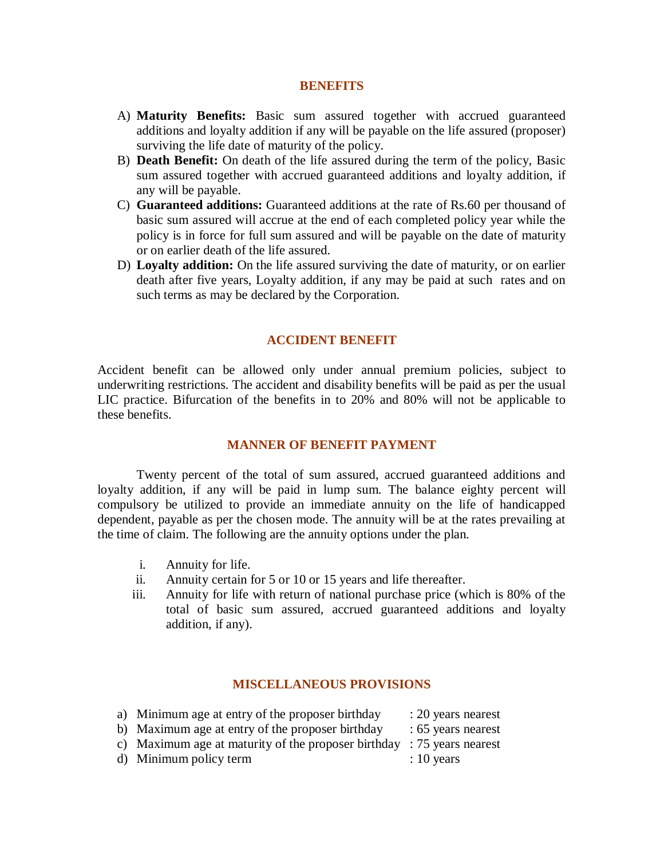#### **BENEFITS**

- A) **Maturity Benefits:** Basic sum assured together with accrued guaranteed additions and loyalty addition if any will be payable on the life assured (proposer) surviving the life date of maturity of the policy.
- B) **Death Benefit:** On death of the life assured during the term of the policy, Basic sum assured together with accrued guaranteed additions and loyalty addition, if any will be payable.
- C) **Guaranteed additions:** Guaranteed additions at the rate of Rs.60 per thousand of basic sum assured will accrue at the end of each completed policy year while the policy is in force for full sum assured and will be payable on the date of maturity or on earlier death of the life assured.
- D) **Loyalty addition:** On the life assured surviving the date of maturity, or on earlier death after five years, Loyalty addition, if any may be paid at such rates and on such terms as may be declared by the Corporation.

# **ACCIDENT BENEFIT**

Accident benefit can be allowed only under annual premium policies, subject to underwriting restrictions. The accident and disability benefits will be paid as per the usual LIC practice. Bifurcation of the benefits in to 20% and 80% will not be applicable to these benefits.

#### **MANNER OF BENEFIT PAYMENT**

Twenty percent of the total of sum assured, accrued guaranteed additions and loyalty addition, if any will be paid in lump sum. The balance eighty percent will compulsory be utilized to provide an immediate annuity on the life of handicapped dependent, payable as per the chosen mode. The annuity will be at the rates prevailing at the time of claim. The following are the annuity options under the plan.

- i. Annuity for life.
- ii. Annuity certain for 5 or 10 or 15 years and life thereafter.
- iii. Annuity for life with return of national purchase price (which is 80% of the total of basic sum assured, accrued guaranteed additions and loyalty addition, if any).

#### **MISCELLANEOUS PROVISIONS**

| a) Minimum age at entry of the proposer birthday                         | : 20 years nearest |
|--------------------------------------------------------------------------|--------------------|
| b) Maximum age at entry of the proposer birthday                         | : 65 years nearest |
| c) Maximum age at maturity of the proposer birthday $: 75$ years nearest |                    |
| d) Minimum policy term                                                   | $: 10$ years       |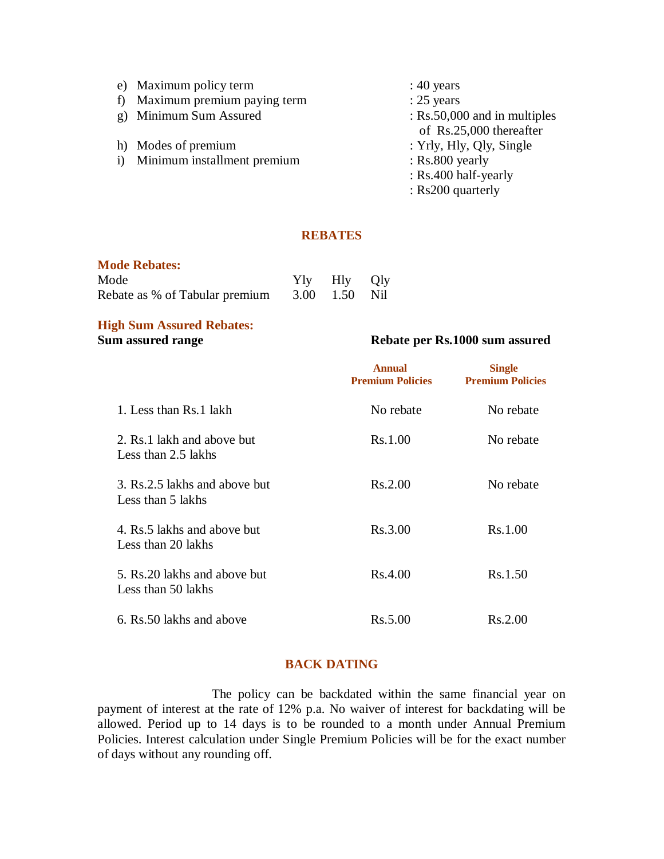|   | e) Maximum policy term         | $: 40$ years                 |
|---|--------------------------------|------------------------------|
| f | Maximum premium paying term    | $: 25$ years                 |
|   | g) Minimum Sum Assured         | : Rs.50,000 and in multiples |
|   |                                | of Rs.25,000 thereafter      |
|   | h) Modes of premium            | : Yrly, Hly, Qly, Single     |
|   | i) Minimum installment premium | $:$ Rs.800 yearly            |
|   |                                | : Rs.400 half-yearly         |
|   |                                | : Rs200 quarterly            |

# **REBATES**

# **Mode Rebates:**

| Mode                                         | Yly Hly Qly |  |
|----------------------------------------------|-------------|--|
| Rebate as % of Tabular premium 3.00 1.50 Nil |             |  |

# **High Sum Assured Rebates:**

# **Sum assured range Rebate per Rs.1000 sum assured**

|                                                     | <b>Annual</b><br><b>Premium Policies</b> | <b>Single</b><br><b>Premium Policies</b> |
|-----------------------------------------------------|------------------------------------------|------------------------------------------|
| 1. Less than Rs. 1 lakh                             | No rebate                                | No rebate                                |
| 2. Rs. 1 lakh and above but<br>Less than 2.5 lakhs  | Rs.1.00                                  | No rebate                                |
| 3. Rs.2.5 lakhs and above but<br>Less than 5 lakhs  | Rs.2.00                                  | No rebate                                |
| 4. Rs.5 lakhs and above but<br>Less than 20 lakhs   | Rs.3.00                                  | Rs.1.00                                  |
| 5. Rs. 20 lakhs and above but<br>Less than 50 lakhs | Rs.4.00                                  | Rs.1.50                                  |
| 6. Rs. 50 lakhs and above                           | Rs.5.00                                  | Rs.2.00                                  |

# **BACK DATING**

The policy can be backdated within the same financial year on payment of interest at the rate of 12% p.a. No waiver of interest for backdating will be allowed. Period up to 14 days is to be rounded to a month under Annual Premium Policies. Interest calculation under Single Premium Policies will be for the exact number of days without any rounding off.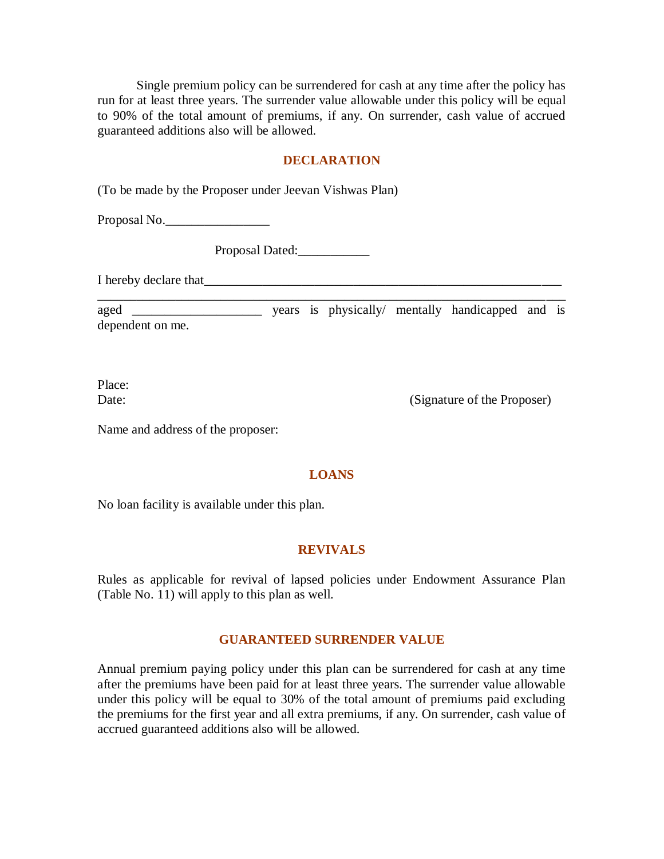Single premium policy can be surrendered for cash at any time after the policy has run for at least three years. The surrender value allowable under this policy will be equal to 90% of the total amount of premiums, if any. On surrender, cash value of accrued guaranteed additions also will be allowed.

### **DECLARATION**

(To be made by the Proposer under Jeevan Vishwas Plan)

Proposal No.

Proposal Dated:

I hereby declare that

aged \_\_\_\_\_\_\_\_\_\_\_\_\_\_\_\_\_\_\_\_\_\_\_\_\_\_\_ years is physically/ mentally handicapped and is dependent on me.

\_\_\_\_\_\_\_\_\_\_\_\_\_\_\_\_\_\_\_\_\_\_\_\_\_\_\_\_\_\_\_\_\_\_\_\_\_\_\_\_\_\_\_\_\_\_\_\_\_\_\_\_\_\_\_\_\_\_\_\_\_\_\_\_\_\_\_\_\_\_\_\_

Place:

Date: (Signature of the Proposer)

Name and address of the proposer:

#### **LOANS**

No loan facility is available under this plan.

# **REVIVALS**

Rules as applicable for revival of lapsed policies under Endowment Assurance Plan (Table No. 11) will apply to this plan as well.

#### **GUARANTEED SURRENDER VALUE**

Annual premium paying policy under this plan can be surrendered for cash at any time after the premiums have been paid for at least three years. The surrender value allowable under this policy will be equal to 30% of the total amount of premiums paid excluding the premiums for the first year and all extra premiums, if any. On surrender, cash value of accrued guaranteed additions also will be allowed.